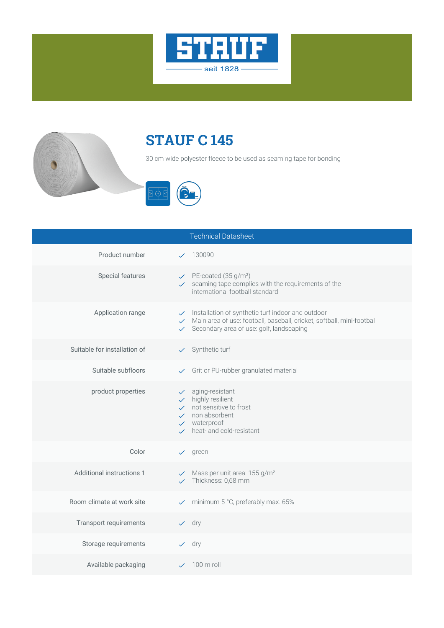



## **STAUF C 145**

30 cm wide polyester fleece to be used as seaming tape for bonding



|                              | <b>Technical Datasheet</b>                                                                                                                                                                                  |
|------------------------------|-------------------------------------------------------------------------------------------------------------------------------------------------------------------------------------------------------------|
| Product number               | $\times$ 130090                                                                                                                                                                                             |
| Special features             | $\checkmark$ PE-coated (35 g/m <sup>2</sup> )<br>$\checkmark$ seaming tape complies with the requirements of the<br>international football standard                                                         |
| Application range            | Installation of synthetic turf indoor and outdoor<br>√ Main area of use: football, baseball, cricket, softball, mini-footbal<br>$\checkmark$ Secondary area of use: golf, landscaping                       |
| Suitable for installation of | $\checkmark$ Synthetic turf                                                                                                                                                                                 |
| Suitable subfloors           | Grit or PU-rubber granulated material                                                                                                                                                                       |
| product properties           | aging-resistant<br>$\checkmark$ .<br>$\checkmark$ highly resilient<br>$\checkmark$ not sensitive to frost<br>$\checkmark$ non absorbent<br>$\checkmark$ waterproof<br>$\checkmark$ heat- and cold-resistant |
| Color                        | $\checkmark$ green                                                                                                                                                                                          |
| Additional instructions 1    | $\checkmark$ Mass per unit area: 155 g/m <sup>2</sup><br>$\checkmark$ Thickness: 0,68 mm                                                                                                                    |
| Room climate at work site    | minimum 5 °C, preferably max. 65%<br>$\checkmark$                                                                                                                                                           |
| Transport requirements       | $\vee$ dry                                                                                                                                                                                                  |
| Storage requirements         | $\vee$ dry                                                                                                                                                                                                  |
| Available packaging          | $\angle$ 100 m roll                                                                                                                                                                                         |